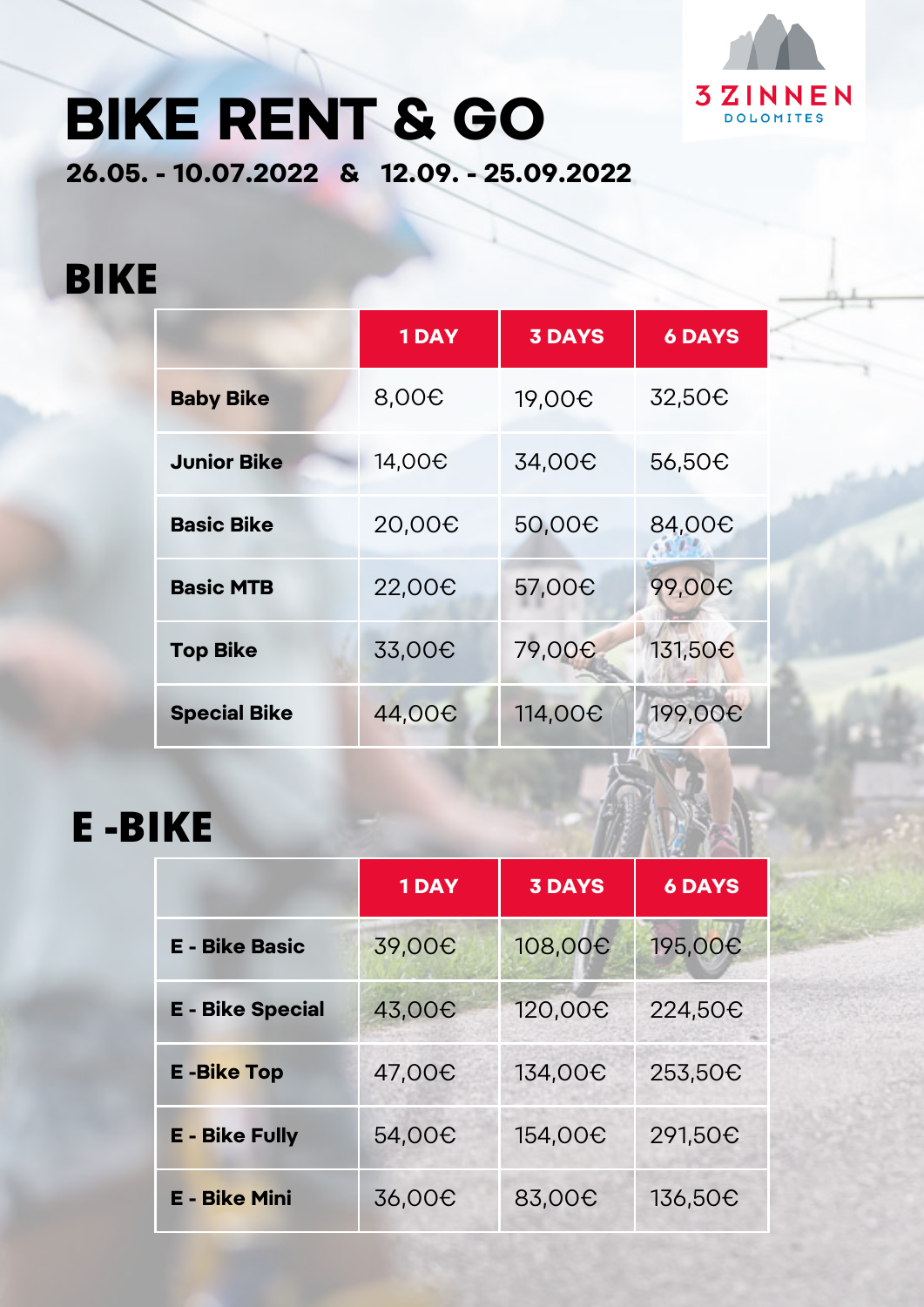

# **BIKE RENT & GO**

**26.05. - 10.07.2022 & 12.09. - 25.09.2022**

#### **BIKE**

|                     | <b>1DAY</b>        | <b>3 DAYS</b>       | <b>6 DAYS</b>       |
|---------------------|--------------------|---------------------|---------------------|
| <b>Baby Bike</b>    | 8,00 <del>C</del>  | 19,00 <del>C</del>  | 32,50€              |
| <b>Junior Bike</b>  | 14,00 <del>0</del> | 34,00 <del>C</del>  | 56,50€              |
| <b>Basic Bike</b>   | 20,00 <del>0</del> | 50,00€              | 84,00 <del>C</del>  |
| <b>Basic MTB</b>    | 22,00 <del>0</del> | 57,00 <del>C</del>  | 99,00 <sub>€</sub>  |
| <b>Top Bike</b>     | 33,00 <del>C</del> | 79,00 <del>0</del>  | 131,50 <del>C</del> |
| <b>Special Bike</b> | 44,00 <del>0</del> | 114,00 <del>C</del> | 199,00 <del>C</del> |

### **E -BIKE**

|                         | <b>1DAY</b>        | <b>3 DAYS</b>       | <b>6 DAYS</b>       |
|-------------------------|--------------------|---------------------|---------------------|
| <b>E - Bike Basic</b>   | 39,00 <del>C</del> | 108,00 <del>C</del> | 195,00 <del>C</del> |
| <b>E</b> - Bike Special | 43,00€             | 120,00€             | 224,50€             |
| <b>E-Bike Top</b>       | 47,00€             | 134,00€             | 253,50€             |
| <b>E - Bike Fully</b>   | 54,00 <del>C</del> | 154,00€             | 291,50€             |
| <b>E - Bike Mini</b>    | 36,00 <del>C</del> | 83,00 <del>C</del>  | 136,50€             |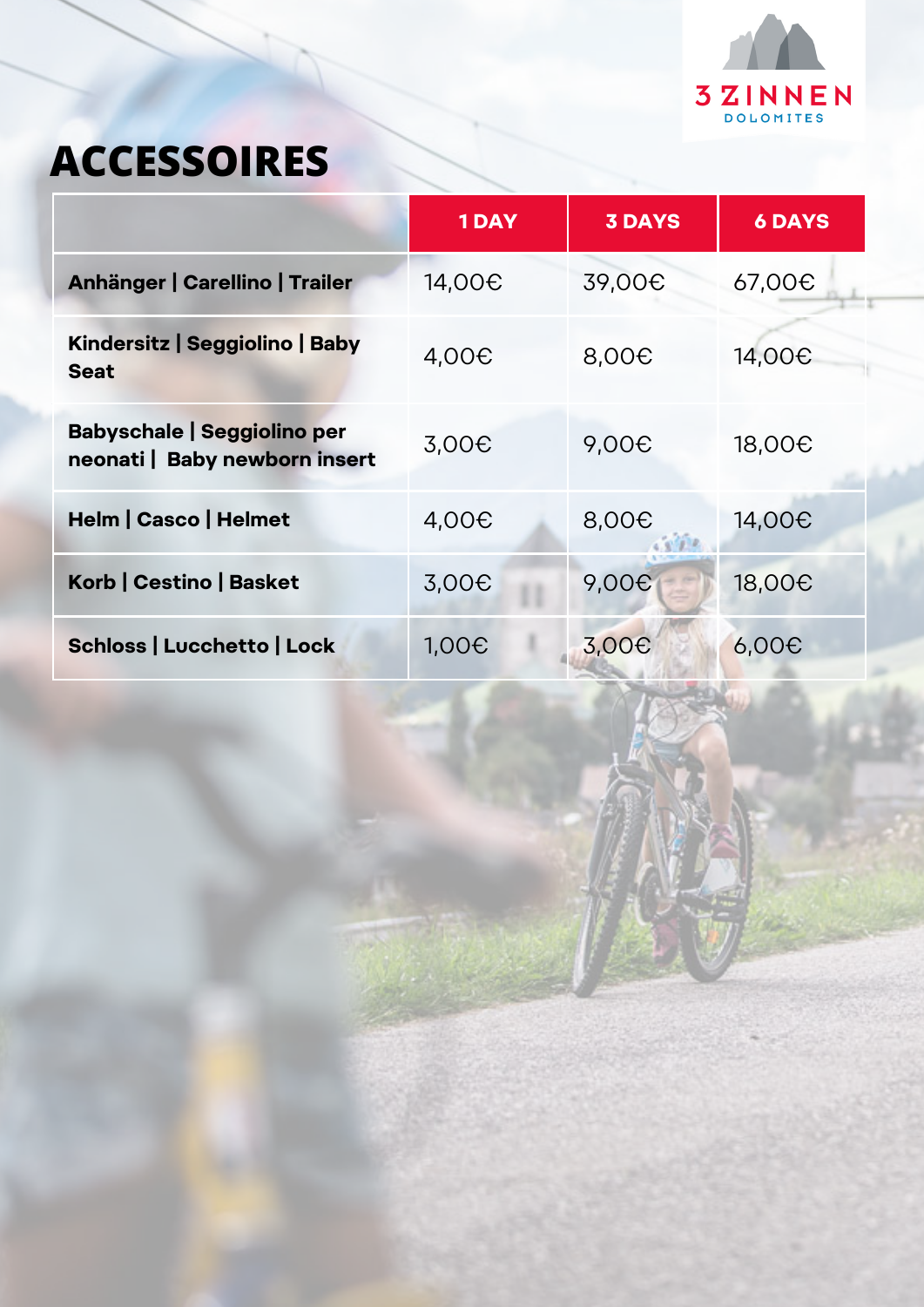

## **ACCESSOIRES**

|                                                                     | <b>1DAY</b>        | <b>3 DAYS</b>     | <b>6 DAYS</b>      |
|---------------------------------------------------------------------|--------------------|-------------------|--------------------|
| Anhänger   Carellino   Trailer                                      | 14,00 <del>0</del> | 39,00€            | 67,00€             |
| Kindersitz   Seggiolino   Baby<br><b>Seat</b>                       | $4,00\epsilon$     | 8,00 <del>C</del> | 14,00 <del>0</del> |
| <b>Babyschale   Seggiolino per</b><br>neonati   Baby newborn insert | 3,00€              | 9,00€             | 18,00 <del>C</del> |
| <b>Helm   Casco   Helmet</b>                                        | $4,00\epsilon$     | 8,00€             | 14,00 <del>0</del> |
| Korb   Cestino   Basket                                             | 3,00€              | 9,00 <del>C</del> | 18,00 <del>C</del> |
| Schloss   Lucchetto   Lock                                          | 1,00C              | 3,00€             | 6,00C              |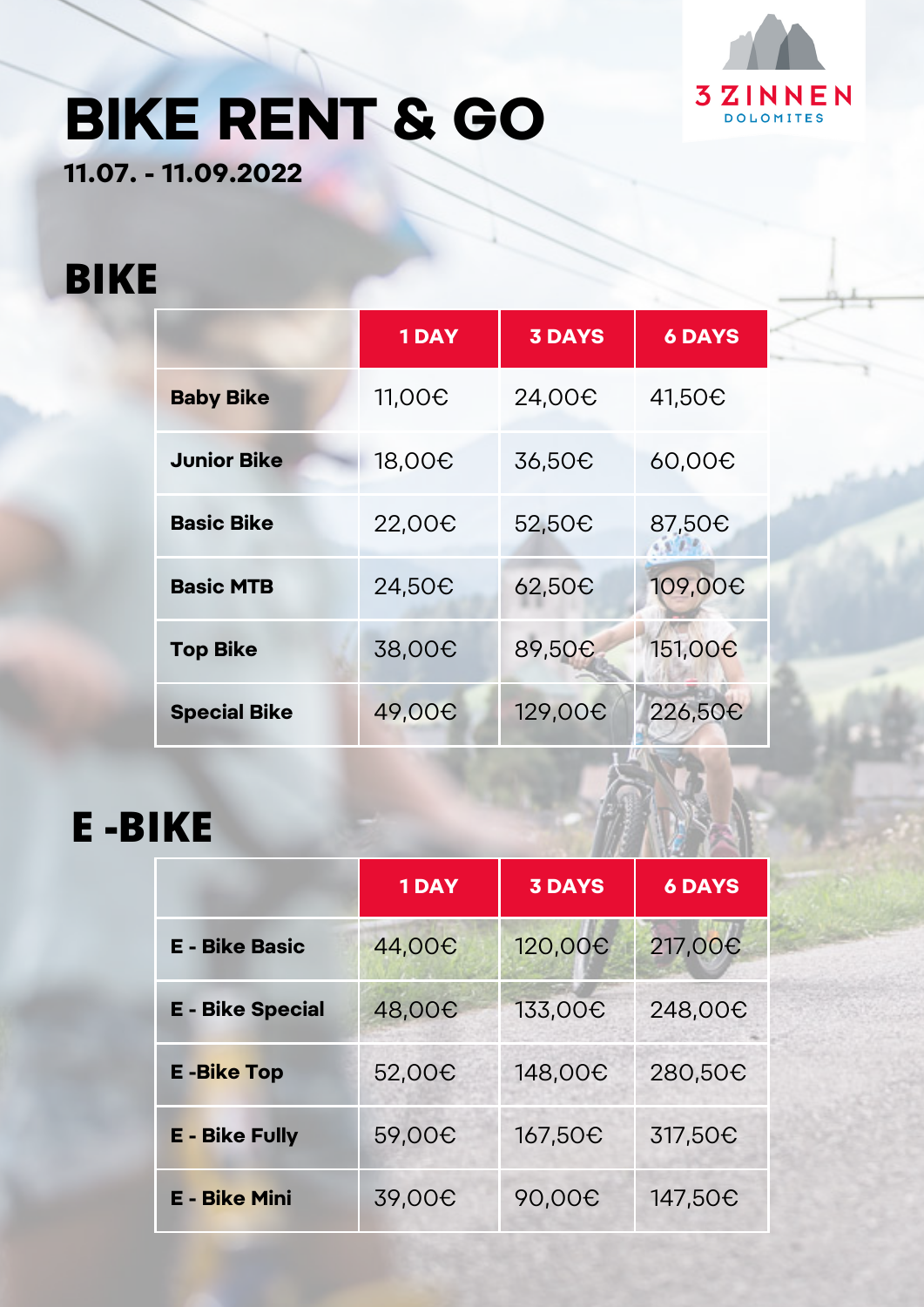

# **BIKE RENT & GO**

**11.07. - 11.09.2022**

#### **BIKE**

|                     | <b>1DAY</b>        | <b>3 DAYS</b>       | <b>6 DAYS</b>      |
|---------------------|--------------------|---------------------|--------------------|
| <b>Baby Bike</b>    | 11,00 <del>C</del> | 24,00 <del>0</del>  | 41,50€             |
| <b>Junior Bike</b>  | 18,00 <del>C</del> | 36,50 <del>C</del>  | 60,00 <del>0</del> |
| <b>Basic Bike</b>   | 22,00 <del>0</del> | 52,50€              | 87,50 <sub>€</sub> |
| <b>Basic MTB</b>    | 24,50€             | 62,50€              | 109,00€            |
| <b>Top Bike</b>     | 38,00 <del>C</del> | 89,50€              | 151,00€            |
| <b>Special Bike</b> | 49,00 <del>C</del> | 129,00 <del>0</del> | 226,50€            |

### **E -BIKE**

|                         | <b>1DAY</b>        | <b>3 DAYS</b>      | <b>6 DAYS</b>       |
|-------------------------|--------------------|--------------------|---------------------|
| <b>E</b> - Bike Basic   | 44,00 <del>0</del> | 120,00€            | 217,00€             |
| <b>E</b> - Bike Special | 48,00€             | 133,00€            | 248,00€             |
| <b>E-Bike Top</b>       | 52,00€             | 148,00€            | 280,50€             |
| <b>E - Bike Fully</b>   | 59,00 <del>C</del> | 167,50€            | 317,50 <sub>€</sub> |
| <b>E - Bike Mini</b>    | 39,00 <del>C</del> | 90,00 <del>€</del> | 147,50 <del>C</del> |